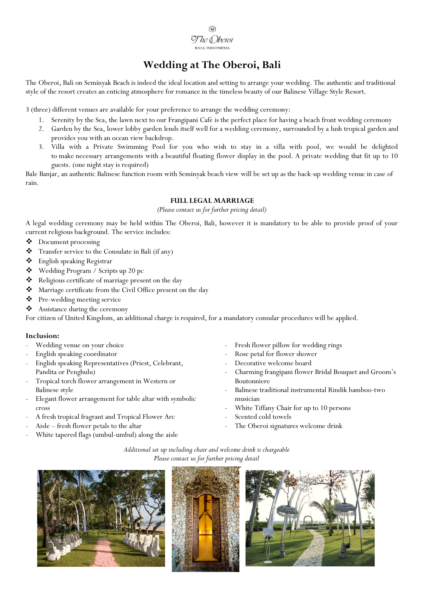# **Wedding at The Oberoi, Bali**

The Oberoi, Bali on Seminyak Beach is indeed the ideal location and setting to arrange your wedding. The authentic and traditional style of the resort creates an enticing atmosphere for romance in the timeless beauty of our Balinese Village Style Resort.

3 (three) different venues are available for your preference to arrange the wedding ceremony:

- 1. Serenity by the Sea, the lawn next to our Frangipani Café is the perfect place for having a beach front wedding ceremony
- 2. Garden by the Sea, lower lobby garden lends itself well for a wedding ceremony, surrounded by a lush tropical garden and provides you with an ocean view backdrop.
- 3. Villa with a Private Swimming Pool for you who wish to stay in a villa with pool, we would be delighted to make necessary arrangements with a beautiful floating flower display in the pool. A private wedding that fit up to 10 guests. (one night stay is required)

Bale Banjar, an authentic Balinese function room with Seminyak beach view will be set up as the back-up wedding venue in case of rain.

## **FULL LEGAL MARRIAGE**

*(Please contact us for further pricing detail)*

A legal wedding ceremony may be held within The Oberoi, Bali, however it is mandatory to be able to provide proof of your current religious background. The service includes:

- Document processing
- $\bullet$  Transfer service to the Consulate in Bali (if any)
- English speaking Registrar
- Wedding Program / Scripts up 20 pc
- Religious certificate of marriage present on the day
- Marriage certificate from the Civil Office present on the day
- Pre-wedding meeting service
- Assistance during the ceremony

For citizen of United Kingdom, an additional charge is required, for a mandatory consular procedures will be applied.

#### **Inclusion:**

- Wedding venue on your choice
- English speaking coordinator
- English speaking Representatives (Priest, Celebrant, Pandita or Penghulu)
- Tropical torch flower arrangement in Western or Balinese style
- Elegant flower arrangement for table altar with symbolic cross
- A fresh tropical fragrant and Tropical Flower Arc
- Aisle fresh flower petals to the altar
- White tapered flags (umbul-umbul) along the aisle
- Fresh flower pillow for wedding rings
- Rose petal for flower shower
- Decorative welcome board
- Charming frangipani flower Bridal Bouquet and Groom's Boutonniere
- Balinese traditional instrumental Rindik bamboo-two musician
- White Tiffany Chair for up to 10 persons
- Scented cold towels
- The Oberoi signatures welcome drink

*Additional set up including chair and welcome drink is chargeable Please contact us for further pricing detail*





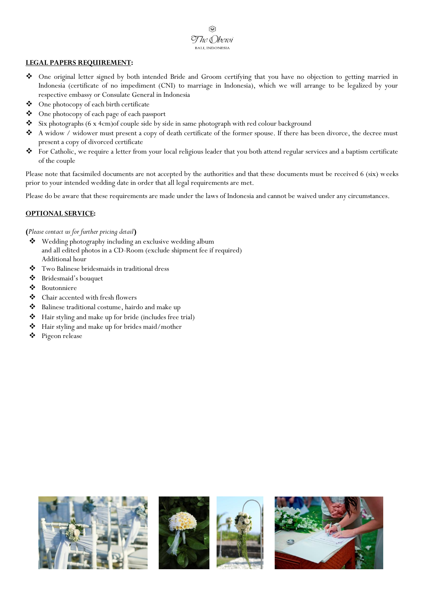ଚି The Dberoi BALI, INDONESIA

#### **LEGAL PAPERS REQUIREMENT:**

- One original letter signed by both intended Bride and Groom certifying that you have no objection to getting married in Indonesia (certificate of no impediment (CNI) to marriage in Indonesia), which we will arrange to be legalized by your respective embassy or Consulate General in Indonesia
- One photocopy of each birth certificate
- One photocopy of each page of each passport
- Six photographs (6 x 4cm) of couple side by side in same photograph with red colour background
- $\clubsuit$  A widow / widower must present a copy of death certificate of the former spouse. If there has been divorce, the decree must present a copy of divorced certificate
- For Catholic, we require a letter from your local religious leader that you both attend regular services and a baptism certificate of the couple

Please note that facsimiled documents are not accepted by the authorities and that these documents must be received 6 (six) weeks prior to your intended wedding date in order that all legal requirements are met.

Please do be aware that these requirements are made under the laws of Indonesia and cannot be waived under any circumstances.

# **OPTIONAL SERVICE:**

## **(***Please contact us for further pricing detail***)**

- Wedding photography including an exclusive wedding album and all edited photos in a CD-Room (exclude shipment fee if required) Additional hour
- Two Balinese bridesmaids in traditional dress
- Bridesmaid's bouquet
- Boutonniere
- Chair accented with fresh flowers
- Balinese traditional costume, hairdo and make up
- Hair styling and make up for bride (includes free trial)
- Hair styling and make up for brides maid/mother
- Pigeon release